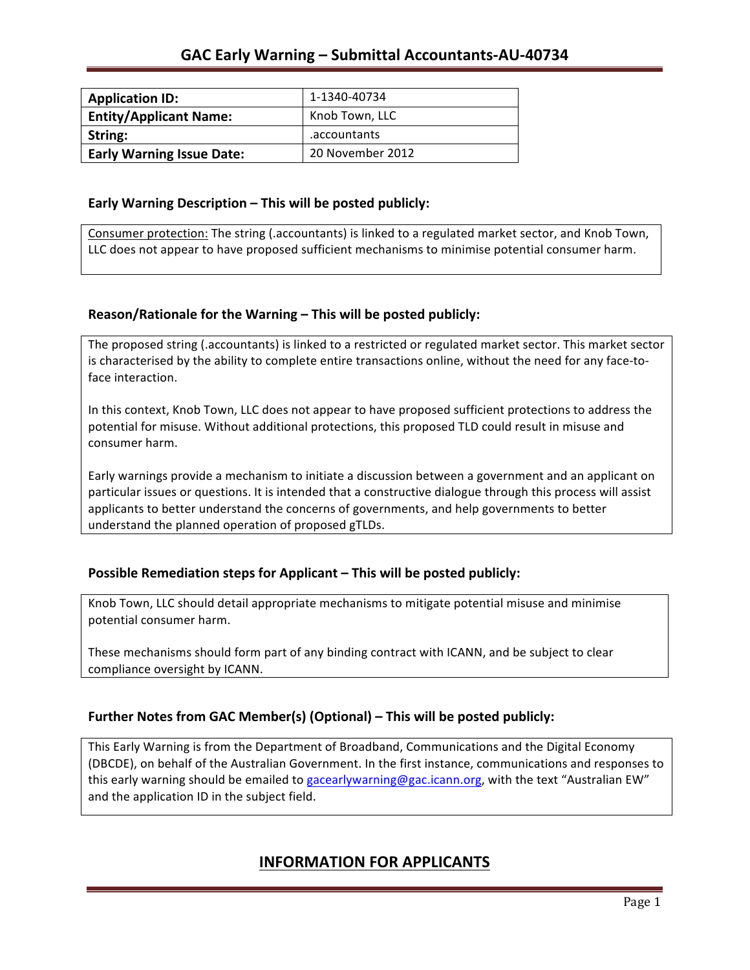| <b>Application ID:</b>           | 1-1340-40734     |
|----------------------------------|------------------|
| <b>Entity/Applicant Name:</b>    | Knob Town, LLC   |
| String:                          | .accountants     |
| <b>Early Warning Issue Date:</b> | 20 November 2012 |

### **Early Warning Description – This will be posted publicly:**

Consumer protection: The string (.accountants) is linked to a regulated market sector, and Knob Town, LLC does not appear to have proposed sufficient mechanisms to minimise potential consumer harm.

## **Reason/Rationale for the Warning – This will be posted publicly:**

The proposed string (.accountants) is linked to a restricted or regulated market sector. This market sector is characterised by the ability to complete entire transactions online, without the need for any face-toface interaction.

In this context, Knob Town, LLC does not appear to have proposed sufficient protections to address the potential for misuse. Without additional protections, this proposed TLD could result in misuse and consumer harm.

Early warnings provide a mechanism to initiate a discussion between a government and an applicant on particular issues or questions. It is intended that a constructive dialogue through this process will assist applicants to better understand the concerns of governments, and help governments to better understand the planned operation of proposed gTLDs.

## **Possible Remediation steps for Applicant – This will be posted publicly:**

Knob Town, LLC should detail appropriate mechanisms to mitigate potential misuse and minimise potential consumer harm.

These mechanisms should form part of any binding contract with ICANN, and be subject to clear compliance oversight by ICANN.

## **Further Notes from GAC Member(s) (Optional)** – This will be posted publicly:

This Early Warning is from the Department of Broadband, Communications and the Digital Economy (DBCDE), on behalf of the Australian Government. In the first instance, communications and responses to this early warning should be emailed to gacearlywarning@gac.icann.org, with the text "Australian EW" and the application ID in the subject field.

## **INFORMATION FOR APPLICANTS**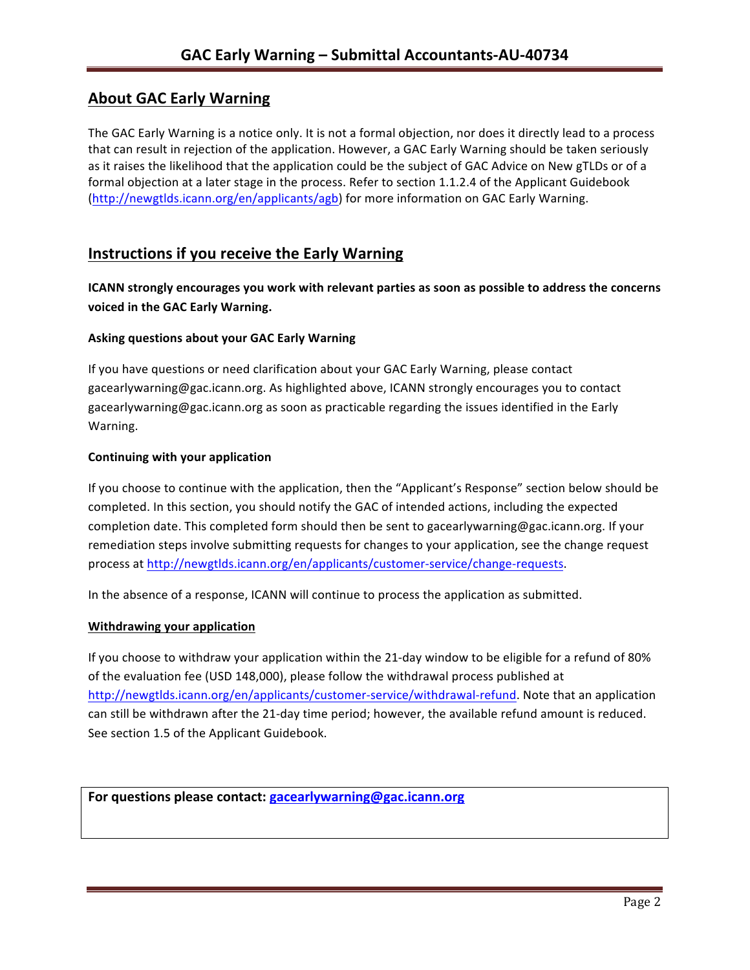# **About GAC Early Warning**

The GAC Early Warning is a notice only. It is not a formal objection, nor does it directly lead to a process that can result in rejection of the application. However, a GAC Early Warning should be taken seriously as it raises the likelihood that the application could be the subject of GAC Advice on New gTLDs or of a formal objection at a later stage in the process. Refer to section 1.1.2.4 of the Applicant Guidebook (http://newgtlds.icann.org/en/applicants/agb) for more information on GAC Early Warning.

# **Instructions if you receive the Early Warning**

**ICANN** strongly encourages you work with relevant parties as soon as possible to address the concerns **voiced in the GAC Early Warning.** 

### **Asking questions about your GAC Early Warning**

If you have questions or need clarification about your GAC Early Warning, please contact gacearlywarning@gac.icann.org. As highlighted above, ICANN strongly encourages you to contact gacearlywarning@gac.icann.org as soon as practicable regarding the issues identified in the Early Warning. 

### **Continuing with your application**

If you choose to continue with the application, then the "Applicant's Response" section below should be completed. In this section, you should notify the GAC of intended actions, including the expected completion date. This completed form should then be sent to gacearlywarning@gac.icann.org. If your remediation steps involve submitting requests for changes to your application, see the change request process at http://newgtlds.icann.org/en/applicants/customer-service/change-requests.

In the absence of a response, ICANN will continue to process the application as submitted.

### **Withdrawing your application**

If you choose to withdraw your application within the 21-day window to be eligible for a refund of 80% of the evaluation fee (USD 148,000), please follow the withdrawal process published at http://newgtlds.icann.org/en/applicants/customer-service/withdrawal-refund. Note that an application can still be withdrawn after the 21-day time period; however, the available refund amount is reduced. See section 1.5 of the Applicant Guidebook.

```
For questions please contact: gacearlywarning@gac.icann.org
```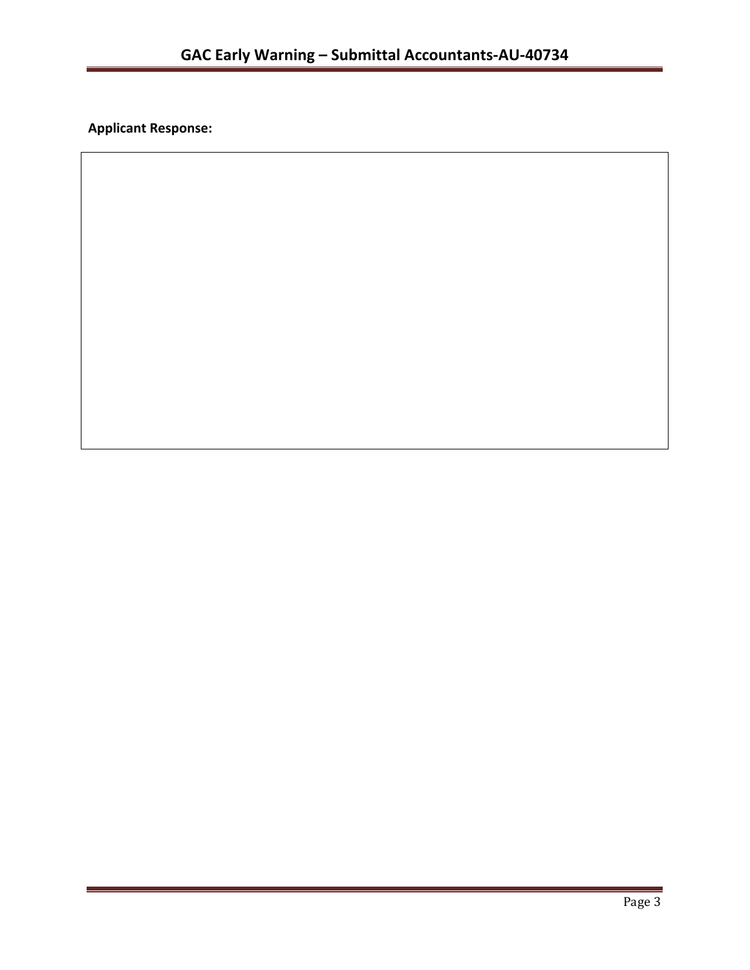**Applicant Response:**